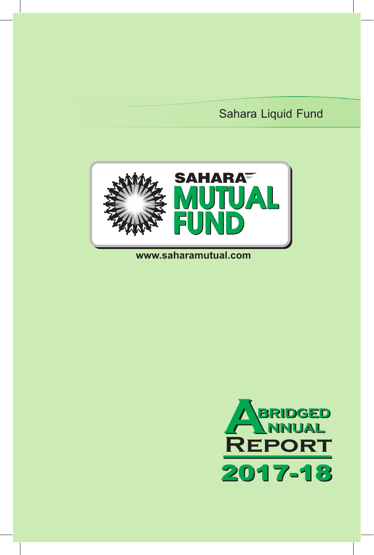# Sahara Liquid Fund



# **www.saharamutual.com**

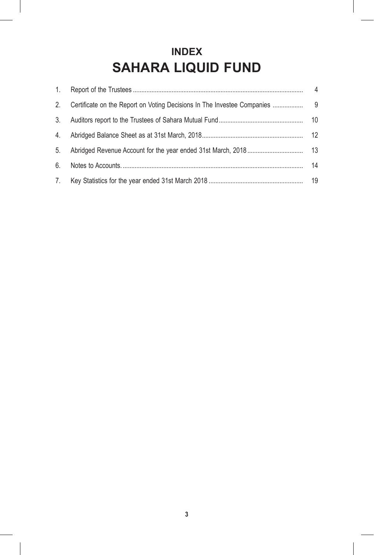# **INDEX SAHARA LIQUID FUND**

| 2. |    |
|----|----|
| 3. |    |
| 4. |    |
| 5. |    |
| 6. | 14 |
| 7. |    |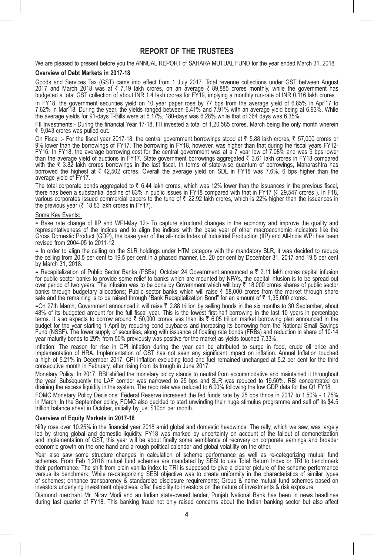# **REPORT OF THE TRUSTEES**

We are pleased to present before you the ANNUAL REPORT of SAHARA MUTUAL FUND for the year ended March 31, 2018.

#### **Overview of Debt Markets in 2017-18**

Goods and Services Tax (GST) came into effect from 1 July 2017. Total revenue collections under GST between August<br>2017 and March 2018 was at ₹ 7.19 lakh crores, on an average ₹ 89,885 crores monthly, while the government

In FY18, the government securities yield on 10 year paper rose by 77 bps from the average vield of 6.85% in Apr'17 to 7.62% in Mar'18. During the year, the yields ranged between 6.41% and 7.91% with an average yield being at 6.93%. While the average yields for 91-days T-Bills were at 6.17%, 180-days was 6.28% while that of 364 days was 6.35%

FII Investments:- During the financial Year 17-18, FII invested a total of 1,20,585 crores, March being the only month wherein  $\bar{\tau}$  9.043 crores was pulled out.

On Fiscal :- For the fiscal year 2017-18, the central government borrowings stood at  $\bar{z}$  5.88 lakh crores,  $\bar{z}$  57,000 crores or 9% lower than the borrowings of FY17. The borrowing in FY18, however, was higher than that during the fiscal years FY12- FY16. In FY18, the average borrowing cost for the central government was at a 7 year low of 7.08% and was 9 bps lower<br>than the average yield of auctions in FY17. State government borrowings aggregated ₹ 3.61 lakh crores i borrowed the highest at  $\bar{\tau}$  42,502 crores. Overall the average yield on SDL in FY18 was 7.6%, 6 bps higher than the average yield of FY17.

The total corporate bonds aggregated to ₹ 6.44 lakh crores, which was 12% lower than the issuances in the previous fiscal,<br>there has been a substantial decline of 83% in public issues in FY18 compared with that in FY17 (₹ the previous year ( $\bar{\tau}$  18.83 lakh crores in FY17).

#### Some Key Events:

= Base rate change of IIP and WPI-May 12:- To capture structural changes in the economy and improve the quality and<br>representativeness of the indices and to align the indices with the base year of other macroeconomic indic Gross Domestic Product (GDP), the base year of the all-India Index of Industrial Production (IIP) and All-India WPI has been revised from 2004-05 to 2011-12.

= In order to align the ceiling on the SLR holdings under HTM category with the mandatory SLR, it was decided to reduce the ceiling from 20.5 per cent to 19.5 per cent in a phased manner, i.e. 20 per cent by December 31, 2017 and 19.5 per cent by March 31, 2018.

= Recapitalization of Public Sector Banks (PSBs): October 24 Government announced a  $\bar{\tau}$  2.11 lakh crores capital infusion for public sector banks to provide some relief to banks which are mounted by NPA's, the capital infusion is to be spread out over period of two years. The infusion was to be done by Government which will buy ₹ 18,000 crores shares of public sector banks through budgetary allocations; Public sector banks which will raise ₹ 58,000 crores from the market through share<br>sale and the remaining is to be raised through "Bank Recapitalization Bond" for an amount of ₹ 1,35,0

=On 27th March, Government announced it will raise  $\bar{\tau}$  2.88 trillion by selling bonds in the six months to 30 September, about 48% of its budgeted amount for the full fiscal year. This is the lowest first-half borrowing in the last 10 years in percentage terms. It also expects to borrow around ₹ 50,000 crores less than its ₹ 6.05 trillion market borrowing plan announced in the<br>budget for the year starting 1 April by reducing bond buybacks and increasing its borrowing from Fund (NSSF). The lower supply of securities, along with issuance of floating rate bonds (FRBs) and reduction in share of 10-14 year maturity bonds to 29% from 50% previously was positive for the market as yields touched 7.33%.

Inflation: The reason for rise in CPI inflation during the year can be attributed to surge in food, crude oil price and Implementation of HRA. Implementation of GST has not seen any significant impact on inflation. Annual Inflation touched a high of 5.21% in December 2017. CPI inflation excluding food and fuel remained unchanged at 5.2 per cent for the third consecutive month in February, after rising from its trough in June 2017.

Monetary Policy: In 2017, RBI shitted the monetary policy stance to neutral from accommodative and maintained it throughout<br>the year. Subsequently the LAF corridor was narrowed to 25 bps and SLR was reduced to 19.50%. RBI draining the excess liquidity in the system. The repo rate was reduced to 6.00% following the low GDP data for the Q1 FY18.

FOMC Monetary Policy Decisions: Federal Reserve increased the fed funds rate by 25 bps thrice in 2017 to 1.50% - 1.75% in March. In the September policy, FOMC also decided to start unwinding their huge stimulus programme and sell off its \$4.5 trillion balance sheet in October, initially by just \$10bn per month.

#### **Overview of Equity Markets in 2017-18**

Nifty rose over 10.25% in the financial year 2018 amid global and domestic headwinds. The rally, which we saw, was largely led by strong global and domestic liquidity. FY18 was marked by uncertainty on account of the fallout of demonetization<br>and implementation of GST, this year will be about finally some semblance of recovery on corporate ear economic growth on the one hand and a rough political calendar and global volatility on the other.

Year also saw some structure changes in calculation of scheme performance as well as re-categorizing mutual fund schemes. From Feb 1,2018 mutual fund schemes are mandated by SEBI to use Total Return Index or TRI to benchmark their performance. The shift from plain vanilla index to TRI is supposed to give a clearer picture of the scheme performance versus its benchmark. While re-categorizing SEBI objective was to create uniformity in the characteristics of similar types of schemes; enhance transparency & standardize disclosure requirements; Group & name mutual fund schemes based on investors underlying investment objectives; offer flexibility to investors on the nature of investments & risk exposure.

Diamond merchant Mr. Nirav Modi and an Indian state-owned lender, Punjab National Bank has been in news headlines during last quarter of FY18. This banking fraud not only raised concerns about the Indian banking sector but also affect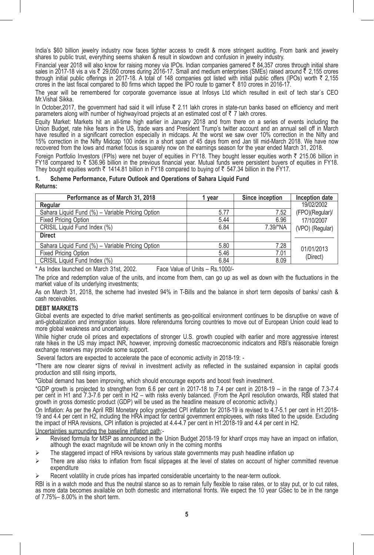India's \$60 billion jewelry industry now faces tighter access to credit & more stringent auditing. From bank and jewelry shares to public trust, everything seems shaken & result in slowdown and confusion in jewelry industry.

Financial year 2018 will also know for raising money via IPOs. Indian companies garnered ₹ 84,357 crores through initial share sales in 2017-18 vis a vis ₹ 29,050 crores during 2016-17. Small and medium enterprises (SMEs) raised around ₹ 2,155 crores<br>through initial public offerings in 2017-18. A total of 148 companies got listed with initial pu crores in the last fiscal compared to 80 firms which tapped the IPO route to garner  $\bar{\tau}$  810 crores in 2016-17.

The year will be remembered for corporate governance issue at Infosys Ltd which resulted in exit of tech star`s CEO Mr.Vishal Sikka.

In October, 2017, the government had said it will infuse  $\bar{\tau}$  2.11 lakh crores in state-run banks based on efficiency and merit parameters along with number of highway/road projects at an estimated cost of  $\bar{z}$  7 lakh crores.

Equity Market: Markets hit an all-time high earlier in January 2018 and from there on a series of events including the Union Budget, rate hike fears in the US, trade wars and President Trump's twitter account and an annual sell off in March have resulted in a significant correction especially in midcaps. At the worst we saw over 10% correction in the Nifty and 15% correction in the Nifty Midcap 100 index in a short span of 45 days from end Jan till mid-March 2018. We have now recovered from the lows and market focus is squarely now on the earnings season for the year ended March 31, 2018.

Foreign Portfolio Investors (FPIs) were net buyer of equities in FY18. They bought lesser equities worth  $\bar{z}$  215.06 billion in  $FY18$  compared to  $\bar{x}$  536.96 billion in the previous financial year. Mutual funds were persistent buyers of equities in  $FY18$ . They bought equities worth  $\bar{\tau}$  1414.81 billion in FY18 compared to buying of  $\bar{\tau}$  547.34 billion in the FY17.

#### **1. Scheme Performance, Future Outlook and Operations of Sahara Liquid Fund Returns:**

| Performance as of March 31, 2018                 | vear | Since inception | Inception date  |
|--------------------------------------------------|------|-----------------|-----------------|
| Regular                                          |      |                 | 19/02/2002      |
| Sahara Liquid Fund (%) - Variable Pricing Option | 5.77 | 7.52            | (FPO)(Regular)/ |
| <b>Fixed Pricing Option</b>                      | 5.44 | 6.96            | 17/10/2007      |
| CRISIL Liquid Fund Index (%)                     | 6.84 | 7.39/*NA        | (VPO) (Regular) |
| <b>Direct</b>                                    |      |                 |                 |
| Sahara Liquid Fund (%) - Variable Pricing Option | 5.80 | 7.28            | 01/01/2013      |
| <b>Fixed Pricing Option</b>                      | 5.46 | 7.01            | (Direct)        |
| CRISIL Liquid Fund Index (%)                     | 6.84 | 8.09            |                 |

\* As Index launched on March 31st, 2002. Face Value of Units – Rs.1000/-

The price and redemption value of the units, and income from them, can go up as well as down with the fluctuations in the market value of its underlying investments;

As on March 31, 2018, the scheme had invested 94% in T-Bills and the balance in short term deposits of banks/ cash & cash receivables.

#### **DEBT MARKETS**

Global events are expected to drive market sentiments as geo-political environment continues to be disruptive on wave of anti-globalization and immigration issues. More referendums forcing countries to move out of European Union could lead to more global weakness and uncertainty.

While higher crude oil prices and expectations of stronger U.S. growth coupled with earlier and more aggressive interest rate hikes in the US may impact INR, however, improving domestic macroeconomic indicators and RBI's reasonable foreign exchange reserves may provide some support.

Several factors are expected to accelerate the pace of economic activity in 2018-19: -

\*There are now clearer signs of revival in investment activity as reflected in the sustained expansion in capital goods production and still rising imports,

\*Global demand has been improving, which should encourage exports and boost fresh investment.

\*GDP growth is projected to strengthen from 6.6 per cent in 2017-18 to 7.4 per cent in 2018-19 – in the range of 7.3-7.4 per cent in H1 and 7.3-7.6 per cent in H2 – with risks evenly balanced. (From the April resolution onwards, RBI stated that growth in gross domestic product (GDP) will be used as the headline measure of economic activity.)

On Inflation: As per the April RBI Monetary policy projected CPI inflation for 2018-19 is revised to 4.7-5.1 per cent in H1:2018-<br>19 and 4.4 per cent in H2, including the HRA impact for central government employees, with r

Uncertainties surrounding the baseline inflation path:-

- $\triangleright$  Revised formula for MSP as announced in the Union Budget 2018-19 for kharif crops may have an impact on inflation, although the exact magnitude will be known only in the coming months
- The staggered impact of HRA revisions by various state governments may push headline inflation up
- $\triangleright$  There are also risks to inflation from fiscal slippages at the level of states on account of higher committed revenue expenditure
- Recent volatility in crude prices has imparted considerable uncertainty to the near-term outlook.

RBI is in a watch mode and thus the neutral stance so as to remain fully flexible to raise rates, or to stay put, or to cut rates, as more data becomes available on both domestic and international fronts. We expect the 10 year GSec to be in the range of 7.75%– 8.00% in the short term.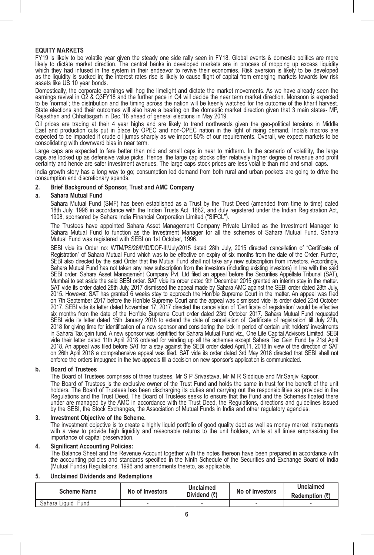#### **EQUITY MARKETS**

FY19 is likely to be volatile year given the steady one side rally seen in FY18. Global events & domestic politics are more likely to dictate market direction. The central banks in developed markets are in process of mopping up excess liquidity<br>which they had infused in the system in their endeavor to revive their economies. Risk aversion is li as the liquidity is sucked in; the interest rates rise is likely to cause flight of capital from emerging markets towards low risk assets like US 10 year bonds.

Domestically, the corporate earnings will hog the limelight and dictate the market movements. As we have already seen the earnings revival in Q2 & Q3FY18 and the further pace in Q4 will decide the near term market direction. Monsoon is expected to be 'normal'; the distribution and the timing across the nation will be keenly watched for the outcome of the kharif harvest.<br>State elections and their outcomes will also have a bearing on the domestic market direction g Rajasthan and Chhattisgarh in Dec.'18 ahead of general elections in May 2019.

Oil prices are trading at their 4 year highs and are likely to trend northwards given the geo-political tensions in Middle<br>East and production cuts put in place by OPEC and non-OPEC nation in the light of rising demand. In consolidating with downward bias in near term.

Large caps are expected to fare better than mid and small caps in near to midterm. In the scenario of volatility, the large caps are looked up as detensive value picks. Hence, the large cap stocks ofter relatively higher degree of revenue and profit<br>certainty and hence are safer investment avenues. The large caps stock prices are less volatile

India growth story has a long way to go; consumption led demand from both rural and urban pockets are going to drive the consumption and discretionary spends.

# **2. Brief Background of Sponsor, Trust and AMC Company**

#### **a. Sahara Mutual Fund**

 Sahara Mutual Fund (SMF) has been established as a Trust by the Trust Deed (amended from time to time) dated 18th July, 1996 in accordance with the Indian Trusts Act, 1882, and duly registered under the Indian Registration Act, 1908, sponsored by Sahara India Financial Corporation Limited ("SIFCL").

 The Trustees have appointed Sahara Asset Management Company Private Limited as the Investment Manager to Sahara Mutual Fund to function as the Investment Manager for all the schemes of Sahara Mutual Fund. Sahara Mutual Fund was registered with SEBI on 1st October, 1996.

 SEBI vide its Order no: WTM/PS/26/IMD/DOF-III/July/2015 dated 28th July, 2015 directed cancellation of "Certificate of Registration" of Sahara Mutual Fund which was to be effective on expiry of six months from the date of the Order. Further, SEBI also directed by the said Order that the Mutual Fund shall not take any new subscription from investors. Accordingly, Sahara Mutual Fund has not taken any new subscription from the investors (including existing investors) in line with the said SEBI order. Sahara Asset Management Company Pvt. Ltd filed an appeal before the Secunties Appellate Tribunal (SAT),<br>Mumbai to set aside the said SEBI order. SAT vide its order dated 9th December 2015 granted an interim sta 2015. However, SAT has granted 6 weeks stay to approach the Hon'ble Supreme Court in the matter. An appeal was filed on 7th September 2017 before the Hon'ble Supreme Court and the appeal was dismissed vide its order dated 23rd October 2017. SEBI vide its letter dated November 17, 2017 directed the cancellation of 'Certificate of registration' would be effective six months from the date of the Hon'ble Supreme Court order dated 23rd October 2017. Sahara Mutual Fund requested SEBI vide its letter dated 15th January 2018 to extend the date of cancellation of 'Certificate of registration' till July 27th, 2018 for giving time for identification of a new sponsor and considering the lock in period of certain unit holders' investments in Sahara Tax gain fund. A new sponsor was identified for Sahara Mutual Fund viz., One Life Capital Advisors Limited. SEBI vide their letter dated 11th April 2018 ordered for winding up all the schemes except Sahara Tax Gain Fund by 21st April 2018. An appeal was filed before SAT for a stay against the SEBI order dated April,11, 2018.In view of the direction of SAT<br>on 26th April 2018 a comprehensive appeal was filed. SAT vide its order dated 3rd May 2018 directe enforce the orders impugned in the two appeals till a decision on new sponsor's application is communicated.

#### **b. Board of Trustees**

 The Board of Trustees comprises of three trustees, Mr S P Srivastava, Mr M R Siddique and Mr.Sanjiv Kapoor. The Board of Trustees is the exclusive owner of the Trust Fund and holds the same in trust for the benefit of the unit holders. The Board of Trustees has been discharging its duties and carrying out the responsibilities as provided in the Regulations and the Trust Deed. The Board of Trustees seeks to ensure that the Fund and the Schemes floated there<br>under are managed by the AMC in accordance with the Trust Deed, the Regulations, directions and guidelines i by the SEBI, the Stock Exchanges, the Association of Mutual Funds in India and other regulatory agencies.

#### **3. Investment Objective of the Scheme.**

 The investment objective is to create a highly liquid portfolio of good quality debt as well as money market instruments with a view to provide high liquidity and reasonable returns to the unit holders, while at all times emphasizing the importance of capital preservation.

#### **4. Significant Accounting Policies:**

 The Balance Sheet and the Revenue Account together with the notes thereon have been prepared in accordance with the accounting policies and standards specified in the Ninth Schedule of the Securities and Exchange Board of India (Mutual Funds) Regulations, 1996 and amendments thereto, as applicable.

## **5. Unclaimed Dividends and Redemptions**

| <b>Scheme Name</b>    | No of Investors | Unclaimed    | No of Investors | Unclaimed                |
|-----------------------|-----------------|--------------|-----------------|--------------------------|
|                       |                 | Dividend (₹) |                 | Redemption (₹)           |
| Sahara Liquid<br>Fund |                 |              | -               | $\overline{\phantom{a}}$ |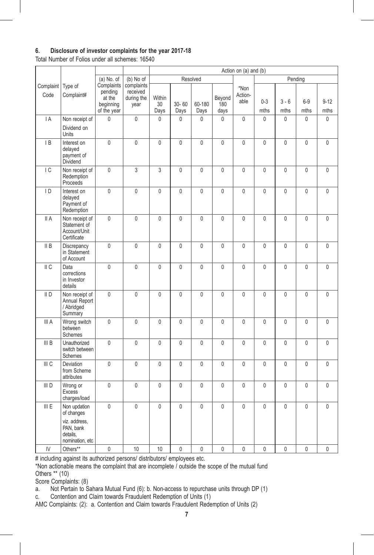# **6. Disclosure of investor complaints for the year 2017-18**

Total Number of Folios under all schemes: 16540

|                   |                                                               |                                                             |                                              | Action on (a) and (b) |                   |                |                       |                         |                 |                 |                |                  |
|-------------------|---------------------------------------------------------------|-------------------------------------------------------------|----------------------------------------------|-----------------------|-------------------|----------------|-----------------------|-------------------------|-----------------|-----------------|----------------|------------------|
|                   |                                                               | $(a)$ No. of                                                | (b) No of                                    |                       |                   | Resolved       |                       |                         |                 |                 | Pending        |                  |
| Complaint<br>Code | Type of<br>Complaint#                                         | Complaints<br>pending<br>at the<br>beginning<br>of the year | complaints<br>received<br>during the<br>year | Within<br>30<br>Days  | $30 - 60$<br>Days | 60-180<br>Days | Beyond<br>180<br>days | *Non<br>Action-<br>able | $0 - 3$<br>mths | $3 - 6$<br>mths | $6-9$<br>mths  | $9 - 12$<br>mths |
| IA                | Non receipt of                                                | $\mathbf{0}$                                                | $\mathbf 0$                                  | $\mathbf{0}$          | $\mathbf{0}$      | 0              | $\mathbf{0}$          | $\mathbf{0}$            | $\mathbf 0$     | $\mathbf{0}$    | $\mathbf 0$    | $\mathbf 0$      |
|                   | Dividend on<br>Units                                          |                                                             |                                              |                       |                   |                |                       |                         |                 |                 |                |                  |
| IB                | Interest on<br>delayed<br>payment of<br>Dividend              | $\mathsf{0}$                                                | $\mathbf 0$                                  | $\overline{0}$        | $\mathbf 0$       | $\overline{0}$ | $\mathbf 0$           | $\mathbf 0$             | 0               | $\mathbf 0$     | $\overline{0}$ | 0                |
| IC                | Non receipt of<br>Redemption<br>Proceeds                      | $\mathsf{0}$                                                | 3                                            | 3                     | 0                 | $\overline{0}$ | $\mathbf 0$           | $\mathbf 0$             | $\mathbf 0$     | $\mathbf 0$     | $\overline{0}$ | 0                |
| $\overline{D}$    | Interest on<br>delayed<br>Payment of<br>Redemption            | $\mathbf 0$                                                 | $\mathbf 0$                                  | $\mathbf{0}$          | $\mathbf{0}$      | $\mathbf{0}$   | $\mathbf 0$           | $\mathbf{0}$            | 0               | $\mathbf{0}$    | $\mathbf{0}$   | 0                |
| II A              | Non receipt of<br>Statement of<br>Account/Unit<br>Certificate | $\mathbf{0}$                                                | $\mathbf{0}$                                 | $\mathbf{0}$          | $\mathbf{0}$      | $\mathbf{0}$   | $\mathbf{0}$          | $\mathbf{0}$            | $\mathbf{0}$    | $\mathbf{0}$    | $\mathbf{0}$   | $\mathbf{0}$     |
| II B              | Discrepancy<br>in Statement<br>of Account                     | $\pmb{0}$                                                   | $\mathbf 0$                                  | $\overline{0}$        | 0                 | $\overline{0}$ | $\mathbf 0$           | $\mathbf 0$             | 0               | $\mathbf 0$     | $\overline{0}$ | 0                |
| II C              | Data<br>corrections<br>in Investor<br>details                 | 0                                                           | $\mathbf{0}$                                 | $\mathbf{0}$          | $\mathbf{0}$      | $\mathbf{0}$   | $\mathbf{0}$          | $\mathbf{0}$            | $\mathbf{0}$    | $\mathbf{0}$    | $\mathbf{0}$   | $\mathbf{0}$     |
| II <sub>D</sub>   | Non receipt of<br>Annual Report<br>/ Abridged<br>Summary      | $\mathbf 0$                                                 | $\mathbf 0$                                  | $\mathbf{0}$          | $\mathbf{0}$      | $\mathbf{0}$   | $\mathbf{0}$          | $\mathbf{0}$            | 0               | $\mathbf{0}$    | $\mathbf{0}$   | 0                |
| III A             | Wrong switch<br>between<br>Schemes                            | $\mathbf{0}$                                                | $\mathbf{0}$                                 | $\mathbf{0}$          | $\mathbf{0}$      | $\overline{0}$ | $\mathbf{0}$          | $\mathbf{0}$            | $\mathbf{0}$    | $\mathbf{0}$    | $\mathbf{0}$   | $\mathbf{0}$     |
| III B             | Unauthorized<br>switch between<br>Schemes                     | 0                                                           | 0                                            | 0                     | $\mathbf 0$       | 0              | 0                     | $\mathbf{0}$            | 0               | $\mathbf{0}$    | 0              | 0                |
| III C             | Deviation<br>from Scheme<br>attributes                        | $\mathbf 0$                                                 | $\mathbf 0$                                  | $\mathbf 0$           | $\mathbf 0$       | $\overline{0}$ | $\mathbf 0$           | $\mathbf{0}$            | $\mathbf{0}$    | $\mathbf 0$     | $\mathbf{0}$   | $\mathbf 0$      |
| III D             | Wrong or<br><b>Excess</b><br>charges/load                     | $\mathbf 0$                                                 | $\mathbf{0}$                                 | $\mathbf{0}$          | $\mathbf{0}$      | $\overline{0}$ | $\mathbf{0}$          | $\mathbf{0}$            | $\mathbf{0}$    | $\mathbf{0}$    | $\overline{0}$ | $\mathbf 0$      |
| III E             | Non updation<br>of changes<br>viz. address,<br>PAN, bank      | 0                                                           | 0                                            | $\mathbf{0}$          | 0                 | 0              | $\mathbf 0$           | $\mathbf 0$             | $\mathbf{0}$    | $\mathbf 0$     | 0              | 0                |
|                   | details.<br>nomination, etc                                   |                                                             |                                              |                       |                   |                |                       |                         |                 |                 |                |                  |
| IV                | Others**                                                      | 0                                                           | 10                                           | 10                    | 0                 | 0              | $\mathbf{0}$          | $\overline{0}$          | 0               | $\mathbf{0}$    | 0              | 0                |

# including against its authorized persons/ distributors/ employees etc.

\*Non actionable means the complaint that are incomplete / outside the scope of the mutual fund Others \*\* (10)

Score Complaints: (8)

a. Not Pertain to Sahara Mutual Fund (6): b. Non-access to repurchase units through DP (1)

c. Contention and Claim towards Fraudulent Redemption of Units (1)

AMC Complaints: (2): a. Contention and Claim towards Fraudulent Redemption of Units (2)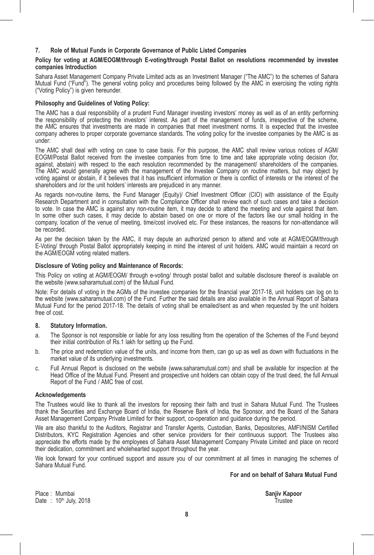#### **7. Role of Mutual Funds in Corporate Governance of Public Listed Companies**

#### **Policy for voting at AGM/EOGM/through E-voting/through Postal Ballot on resolutions recommended by investee companies Introduction**

Sahara Asset Management Company Private Limited acts as an Investment Manager ("The AMC") to the schemes of Sahara Mutual Fund ("Fund"). The general voting policy and procedures being followed by the AMC in exercising the voting rights ("Voting Policy") is given hereunder.

#### **Philosophy and Guidelines of Voting Policy:**

The AMC has a dual responsibility of a prudent Fund Manager investing investors' money as well as of an entity performing the responsibility of protecting the investors' interest. As part of the management of funds, irrespective of the scheme, the AMC ensures that investments are made in companies that meet investment norms. It is expected that the investee company adheres to proper corporate governance standards. The voting policy for the investee companies by the AMC is as under:

The AMC shall deal with voting on case to case basis. For this purpose, the AMC shall review various notices of AGM/ EOGM/Postal Ballot received from the investee companies from time to time and take appropriate voting decision (for, against, abstain) with respect to the each resolution recommended by the management/ shareholders of the companies. The AMC would generally agree with the management of the Investee Company on routine matters, but may object by voting against or abstain, if it believes that it has insufficient information or there is conflict of interests or the interest of the shareholders and /or the unit holders' interests are prejudiced in any manner.

As regards non-routine items, the Fund Manager (Equity)/ Chief Investment Officer (CIO) with assistance of the Equity Research Department and in consultation with the Compliance Officer shall review each of such cases and take a decision to vote. In case the AMC is against any non-routine item, it may decide to attend the meeting and vote against that item. In some other such cases, it may decide to abstain based on one or more of the factors like our small holding in the company, location of the venue of meeting, time/cost involved etc. For these instances, the reasons for non-attendance will be recorded.

As per the decision taken by the AMC, it may depute an authorized person to attend and vote at AGM/EOGM/through E-Voting/ through Postal Ballot appropriately keeping in mind the interest of unit holders. AMC would maintain a record on the AGM/EOGM voting related matters.

#### **Disclosure of Voting policy and Maintenance of Records:**

This Policy on voting at AGM/EOGM/ through e-voting/ through postal ballot and suitable disclosure thereof is available on the website (www.saharamutual.com) of the Mutual Fund.

Note: For details of voting in the AGMs of the investee companies for the financial year 2017-18, unit holders can log on to the website (www.saharamutual.com) of the Fund. Further the said details are also available in the Annual Report of Sahara Mutual Fund for the period 2017-18. The details of voting shall be emailed/sent as and when requested by the unit holders free of cost.

#### **8. Statutory Information.**

- a. The Sponsor is not responsible or liable for any loss resulting from the operation of the Schemes of the Fund beyond their initial contribution of Rs.1 lakh for setting up the Fund.
- b. The price and redemption value of the units, and income from them, can go up as well as down with fluctuations in the market value of its underlying investments.
- c. Full Annual Report is disclosed on the website (www.saharamutual.com) and shall be available for inspection at the Head Office of the Mutual Fund. Present and prospective unit holders can obtain copy of the trust deed, the full Annual Report of the Fund / AMC free of cost.

#### **Acknowledgements**

The Trustees would like to thank all the investors for reposing their faith and trust in Sahara Mutual Fund. The Trustees thank the Securities and Exchange Board of India, the Reserve Bank of India, the Sponsor, and the Board of the Sahara Asset Management Company Private Limited for their support, co-operation and guidance during the period.

We are also thankful to the Auditors, Registrar and Transfer Agents, Custodian, Banks, Depositories, AMFI/NISM Certified Distributors, KYC Registration Agencies and other service providers for their continuous support. The Trustees also appreciate the efforts made by the employees of Sahara Asset Management Company Private Limited and place on record their dedication, commitment and wholehearted support throughout the year.

We look forward for your continued support and assure you of our commitment at all times in managing the schemes of Sahara Mutual Fund.

 **For and on behalf of Sahara Mutual Fund**

Place : Mumbai **Sanjiv Kapoor**<br>
Date : 10<sup>th</sup> July 2018 Date :  $10^{th}$  July, 2018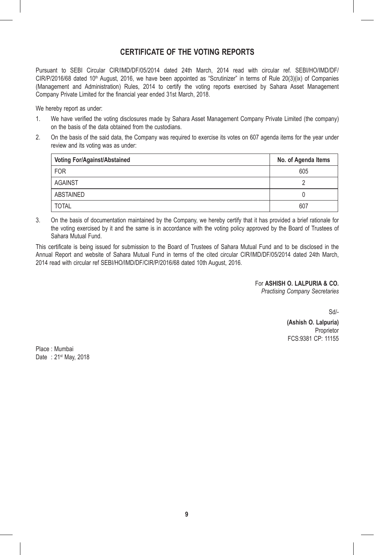# **CERTIFICATE OF THE VOTING REPORTS**

Pursuant to SEBI Circular CIR/IMD/DF/05/2014 dated 24th March, 2014 read with circular ref. SEBI/HO/IMD/DF/  $CIR/P/2016/68$  dated 10<sup>th</sup> August, 2016, we have been appointed as "Scrutinizer" in terms of Rule 20(3)(ix) of Companies (Management and Administration) Rules, 2014 to certify the voting reports exercised by Sahara Asset Management Company Private Limited for the financial year ended 31st March, 2018.

We hereby report as under:

- 1. We have verified the voting disclosures made by Sahara Asset Management Company Private Limited (the company) on the basis of the data obtained from the custodians.
- 2. On the basis of the said data, the Company was required to exercise its votes on 607 agenda items for the year under review and its voting was as under:

| Voting For/Against/Abstained | No. of Agenda Items |
|------------------------------|---------------------|
| <b>FOR</b>                   | 605                 |
| <b>AGAINST</b>               |                     |
| ABSTAINED                    |                     |
| <b>TOTAL</b>                 | 607                 |

3. On the basis of documentation maintained by the Company, we hereby certify that it has provided a brief rationale for the voting exercised by it and the same is in accordance with the voting policy approved by the Board of Trustees of Sahara Mutual Fund.

This certificate is being issued for submission to the Board of Trustees of Sahara Mutual Fund and to be disclosed in the Annual Report and website of Sahara Mutual Fund in terms of the cited circular CIR/IMD/DF/05/2014 dated 24th March, 2014 read with circular ref SEBI/HO/IMD/DF/CIR/P/2016/68 dated 10th August, 2016.

For **ASHISH O. LALPURIA & CO.**

*Practising Company Secretaries*

Sd/-

**(Ashish O. Lalpuria)** Proprietor FCS:9381 CP: 11155

Place : Mumbai Date: 21<sup>st</sup> May, 2018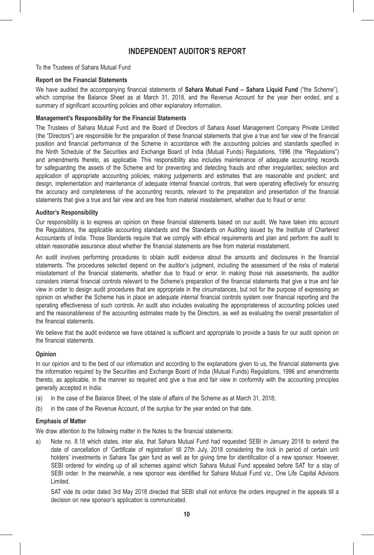# **INDEPENDENT AUDITOR'S REPORT**

To the Trustees of Sahara Mutual Fund

#### **Report on the Financial Statements**

We have audited the accompanying financial statements of **Sahara Mutual Fund – Sahara Liquid Fund** ("the Scheme"), which comprise the Balance Sheet as at March 31, 2018, and the Revenue Account for the year then ended, and a summary of significant accounting policies and other explanatory information.

#### **Management's Responsibility for the Financial Statements**

The Trustees of Sahara Mutual Fund and the Board of Directors of Sahara Asset Management Company Private Limited (the "Directors") are responsible for the preparation of these financial statements that give a true and fair view of the financial position and financial performance of the Scheme in accordance with the accounting policies and standards specified in the Ninth Schedule of the Securities and Exchange Board of India (Mutual Funds) Regulations, 1996 (the "Regulations") and amendments thereto, as applicable. This responsibility also includes maintenance of adequate accounting records for safeguarding the assets of the Scheme and for preventing and detecting frauds and other irregularities; selection and application of appropriate accounting policies; making judgements and estimates that are reasonable and prudent; and design, implementation and maintenance of adequate internal financial controls, that were operating effectively for ensuring the accuracy and completeness of the accounting records, relevant to the preparation and presentation of the financial statements that give a true and fair view and are free from material misstatement, whether due to fraud or error.

#### **Auditor's Responsibility**

Our responsibility is to express an opinion on these financial statements based on our audit. We have taken into account the Regulations, the applicable accounting standards and the Standards on Auditing issued by the Institute of Chartered Accountants of India. Those Standards require that we comply with ethical requirements and plan and perform the audit to obtain reasonable assurance about whether the financial statements are free from material misstatement.

An audit involves performing procedures to obtain audit evidence about the amounts and disclosures in the financial statements. The procedures selected depend on the auditor's judgment, including the assessment of the risks of material misstatement of the financial statements, whether due to fraud or error. In making those risk assessments, the auditor considers internal financial controls relevant to the Scheme's preparation of the financial statements that give a true and fair view in order to design audit procedures that are appropriate in the circumstances, but not for the purpose of expressing an opinion on whether the Scheme has in place an adequate internal financial controls system over financial reporting and the operating effectiveness of such controls. An audit also includes evaluating the appropriateness of accounting policies used and the reasonableness of the accounting estimates made by the Directors, as well as evaluating the overall presentation of the financial statements.

We believe that the audit evidence we have obtained is sufficient and appropriate to provide a basis for our audit opinion on the financial statements.

#### **Opinion**

In our opinion and to the best of our information and according to the explanations given to us, the financial statements give the information required by the Securities and Exchange Board of India (Mutual Funds) Regulations, 1996 and amendments thereto, as applicable, in the manner so required and give a true and fair view in conformity with the accounting principles generally accepted in India:

- (a) in the case of the Balance Sheet, of the state of affairs of the Scheme as at March 31, 2018;
- (b) in the case of the Revenue Account, of the surplus for the year ended on that date.

#### **Emphasis of Matter**

We draw attention to the following matter in the Notes to the financial statements:

a) Note no. 8.18 which states, inter alia, that Sahara Mutual Fund had requested SEBI in January 2018 to extend the date of cancellation of 'Certificate of registration' till 27th July, 2018 considering the lock in period of certain unit holders' investments in Sahara Tax gain fund as well as for giving time for identification of a new sponsor. However, SEBI ordered for winding up of all schemes against which Sahara Mutual Fund appealed before SAT for a stay of SEBI order. In the meanwhile, a new sponsor was identified for Sahara Mutual Fund viz., One Life Capital Advisors Limited.

 SAT vide its order dated 3rd May 2018 directed that SEBI shall not enforce the orders impugned in the appeals till a decision on new sponsor's application is communicated.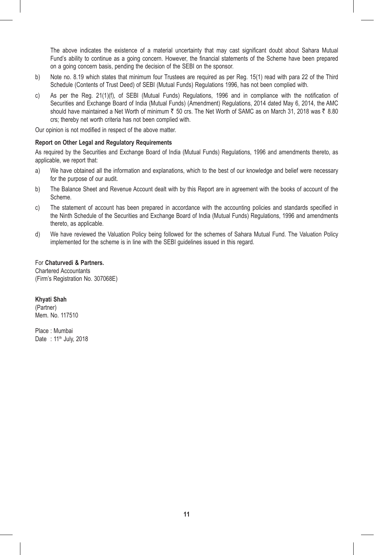The above indicates the existence of a material uncertainty that may cast significant doubt about Sahara Mutual Fund's ability to continue as a going concern. However, the financial statements of the Scheme have been prepared on a going concern basis, pending the decision of the SEBI on the sponsor.

- b) Note no. 8.19 which states that minimum four Trustees are required as per Req. 15(1) read with para 22 of the Third Schedule (Contents of Trust Deed) of SEBI (Mutual Funds) Regulations 1996, has not been complied with.
- c) As per the Reg. 21(1)(f), of SEBI (Mutual Funds) Regulations, 1996 and in compliance with the notification of Securities and Exchange Board of India (Mutual Funds) (Amendment) Regulations, 2014 dated May 6, 2014, the AMC should have maintained a Net Worth of minimum  $\bar{z}$  50 crs. The Net Worth of SAMC as on March 31, 2018 was  $\bar{z}$  8.80 crs; thereby net worth criteria has not been complied with.

Our opinion is not modified in respect of the above matter.

#### **Report on Other Legal and Regulatory Requirements**

As required by the Securities and Exchange Board of India (Mutual Funds) Regulations, 1996 and amendments thereto, as applicable, we report that:

- a) We have obtained all the information and explanations, which to the best of our knowledge and belief were necessary for the purpose of our audit.
- b) The Balance Sheet and Revenue Account dealt with by this Report are in agreement with the books of account of the Scheme.
- c) The statement of account has been prepared in accordance with the accounting policies and standards specified in the Ninth Schedule of the Securities and Exchange Board of India (Mutual Funds) Regulations, 1996 and amendments thereto, as applicable.
- d) We have reviewed the Valuation Policy being followed for the schemes of Sahara Mutual Fund. The Valuation Policy implemented for the scheme is in line with the SEBI guidelines issued in this regard.

## For **Chaturvedi & Partners.**

Chartered Accountants (Firm's Registration No. 307068E)

**Khyati Shah** (Partner) Mem. No. 117510

Place : Mumbai Date: 11<sup>th</sup> July, 2018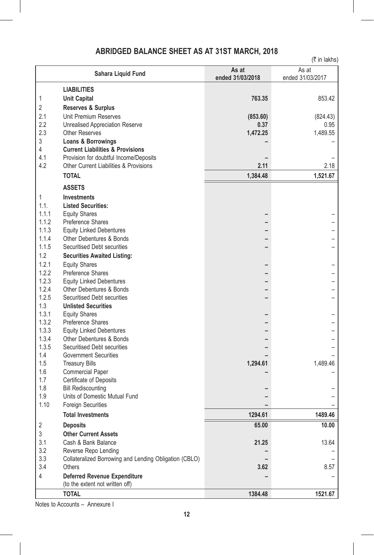# **ABRIDGED BALANCE SHEET AS AT 31ST MARCH, 2018**

|                |                                                             |                           | $(3\overline{5})$ in lakhs) |
|----------------|-------------------------------------------------------------|---------------------------|-----------------------------|
|                | Sahara Liquid Fund                                          | As at<br>ended 31/03/2018 | As at<br>ended 31/03/2017   |
|                | <b>LIABILITIES</b>                                          |                           |                             |
| 1              | <b>Unit Capital</b>                                         | 763.35                    | 853.42                      |
| 2              | <b>Reserves &amp; Surplus</b>                               |                           |                             |
| 2.1            | Unit Premium Reserves                                       | (853.60)                  | (824.43)                    |
| 2.2            | <b>Unrealised Appreciation Reserve</b>                      | 0.37                      | 0.95                        |
| 2.3            | <b>Other Reserves</b>                                       | 1,472.25                  | 1,489.55                    |
| 3              | Loans & Borrowings                                          |                           |                             |
| 4              | <b>Current Liabilities &amp; Provisions</b>                 |                           |                             |
| 4.1            | Provision for doubtful Income/Deposits                      |                           |                             |
| 4.2            | <b>Other Current Liabilities &amp; Provisions</b>           | 2.11                      | 2.18                        |
|                | <b>TOTAL</b>                                                | 1,384.48                  | 1,521.67                    |
|                | <b>ASSETS</b>                                               |                           |                             |
| 1              | <b>Investments</b>                                          |                           |                             |
| 1.1.           | <b>Listed Securities:</b>                                   |                           |                             |
| 1.1.1          | <b>Equity Shares</b>                                        |                           |                             |
| 1.1.2          | Preference Shares                                           |                           |                             |
| 1.1.3          | <b>Equity Linked Debentures</b>                             |                           |                             |
| 1.1.4          | Other Debentures & Bonds                                    |                           |                             |
| 1.1.5          | Securitised Debt securities                                 |                           |                             |
| 1.2            | <b>Securities Awaited Listing:</b>                          |                           |                             |
| 1.2.1          | <b>Equity Shares</b>                                        |                           |                             |
| 1.2.2          | Preference Shares                                           |                           |                             |
| 1.2.3          | <b>Equity Linked Debentures</b>                             |                           |                             |
| 1.2.4          | Other Debentures & Bonds                                    |                           |                             |
| 1.2.5          | Securitised Debt securities                                 |                           |                             |
| 1.3            | <b>Unlisted Securities</b>                                  |                           |                             |
| 1.3.1          | <b>Equity Shares</b>                                        |                           |                             |
| 1.3.2          | Preference Shares                                           |                           |                             |
| 1.3.3          | <b>Equity Linked Debentures</b>                             |                           |                             |
| 1.3.4<br>1.3.5 | <b>Other Debentures &amp; Bonds</b>                         |                           |                             |
| 1.4            | Securitised Debt securities<br><b>Government Securities</b> |                           |                             |
| 1.5            | <b>Treasury Bills</b>                                       | 1,294.61                  | 1,489.46                    |
| 1.6            | <b>Commercial Paper</b>                                     |                           |                             |
| 1.7            | Certificate of Deposits                                     |                           |                             |
| 1.8            | <b>Bill Rediscounting</b>                                   |                           |                             |
| 1.9            | Units of Domestic Mutual Fund                               |                           |                             |
| 1.10           | Foreign Securities                                          |                           |                             |
|                | <b>Total Investments</b>                                    | 1294.61                   | 1489.46                     |
| 2              | <b>Deposits</b>                                             | 65.00                     | 10.00                       |
| 3.             | <b>Other Current Assets</b>                                 |                           |                             |
| 3.1            | Cash & Bank Balance                                         | 21.25                     | 13.64                       |
| 3.2            | Reverse Repo Lending                                        |                           |                             |
| 3.3            | Collateralized Borrowing and Lending Obligation (CBLO)      |                           |                             |
| 3.4            | Others                                                      | 3.62                      | 8.57                        |
| 4              | <b>Deferred Revenue Expenditure</b>                         |                           |                             |
|                | (to the extent not written off)                             |                           |                             |
|                | <b>TOTAL</b>                                                | 1384.48                   | 1521.67                     |

Notes to Accounts – Annexure I

I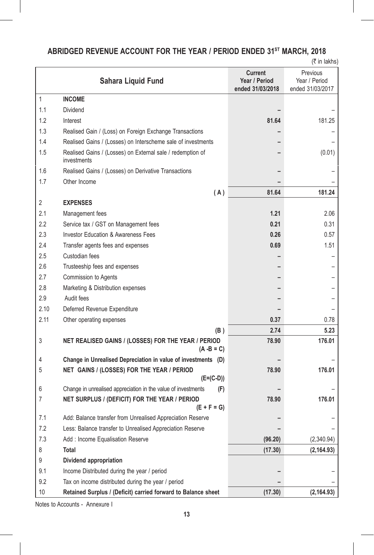# ABRIDGED REVENUE ACCOUNT FOR THE YEAR / PERIOD ENDED 31<sup>st</sup> MARCH, 2018

 $($ ₹ in lakhs)

|              | Sahara Liquid Fund                                                        | Current<br>Year / Period<br>ended 31/03/2018 | Previous<br>Year / Period<br>ended 31/03/2017 |
|--------------|---------------------------------------------------------------------------|----------------------------------------------|-----------------------------------------------|
| $\mathbf{1}$ | <b>INCOME</b>                                                             |                                              |                                               |
| 1.1          | Dividend                                                                  |                                              |                                               |
| 1.2          | Interest                                                                  | 81.64                                        | 181.25                                        |
| 1.3          | Realised Gain / (Loss) on Foreign Exchange Transactions                   |                                              |                                               |
| 1.4          | Realised Gains / (Losses) on Interscheme sale of investments              |                                              |                                               |
| 1.5          | Realised Gains / (Losses) on External sale / redemption of<br>investments |                                              | (0.01)                                        |
| 1.6          | Realised Gains / (Losses) on Derivative Transactions                      |                                              |                                               |
| 1.7          | Other Income                                                              |                                              |                                               |
|              | (A)                                                                       | 81.64                                        | 181.24                                        |
| 2            | <b>EXPENSES</b>                                                           |                                              |                                               |
| 2.1          | Management fees                                                           | 1.21                                         | 2.06                                          |
| 2.2          | Service tax / GST on Management fees                                      | 0.21                                         | 0.31                                          |
| 2.3          | <b>Investor Education &amp; Awareness Fees</b>                            | 0.26                                         | 0.57                                          |
| 2.4          | Transfer agents fees and expenses                                         | 0.69                                         | 1.51                                          |
| 2.5          | Custodian fees                                                            |                                              |                                               |
| 2.6          | Trusteeship fees and expenses                                             |                                              |                                               |
| 2.7          | Commission to Agents                                                      |                                              |                                               |
| 2.8          | Marketing & Distribution expenses                                         |                                              |                                               |
| 2.9          | Audit fees                                                                |                                              |                                               |
| 2.10         | Deferred Revenue Expenditure                                              |                                              |                                               |
| 2.11         | Other operating expenses                                                  | 0.37                                         | 0.78                                          |
|              | (B)                                                                       | 2.74                                         | 5.23                                          |
| 3            | NET REALISED GAINS / (LOSSES) FOR THE YEAR / PERIOD<br>$(A - B = C)$      | 78.90                                        | 176.01                                        |
| 4            | Change in Unrealised Depreciation in value of investments (D)             |                                              |                                               |
| 5            | NET GAINS / (LOSSES) FOR THE YEAR / PERIOD                                | 78.90                                        | 176.01                                        |
|              | $(E=(C-D))$                                                               |                                              |                                               |
| 6            | Change in unrealised appreciation in the value of investments<br>(F)      |                                              |                                               |
| 7            | NET SURPLUS / (DEFICIT) FOR THE YEAR / PERIOD<br>$(E + F = G)$            | 78.90                                        | 176.01                                        |
| 7.1          | Add: Balance transfer from Unrealised Appreciation Reserve                |                                              |                                               |
| 7.2          | Less: Balance transfer to Unrealised Appreciation Reserve                 |                                              |                                               |
| 7.3          | Add: Income Equalisation Reserve                                          | (96.20)                                      | (2,340.94)                                    |
| 8            | <b>Total</b>                                                              | (17.30)                                      | (2, 164.93)                                   |
| 9            | Dividend appropriation                                                    |                                              |                                               |
| 9.1          | Income Distributed during the year / period                               |                                              |                                               |
| 9.2          | Tax on income distributed during the year / period                        |                                              |                                               |
| 10           | Retained Surplus / (Deficit) carried forward to Balance sheet             | (17.30)                                      | (2, 164.93)                                   |

Notes to Accounts - Annexure I

I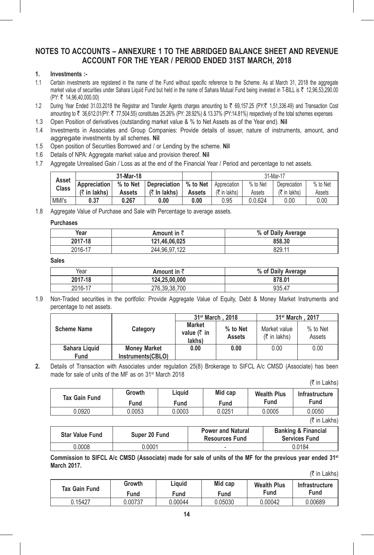# **NOTES TO ACCOUNTS – ANNEXURE 1 TO THE ABRIDGED BALANCE SHEET AND REVENUE ACCOUNT FOR THE YEAR / PERIOD ENDED 31ST MARCH, 2018**

# **1. Investments :-**

- 1.1 Certain investments are registered in the name of the Fund without specific reference to the Scheme. As at March 31, 2018 the aggregate market value of securities under Sahara Liquid Fund but held in the name of Sahara Mutual Fund being invested in T-BILL is ₹ 12,96,53,290.00 (PY: ` 14,96,40,000.00)
- 1.2 During Year Ended 31.03.2018 the Registrar and Transfer Agents charges amounting to ₹ 69,157.25 (PY:₹ 1,51,336.49) and Transaction Cost amounting to ₹ 36,612.01(PY: ₹ 77,504.55) constitutes 25.26% (PY: 28.92%) & 13.37% (PY:14.81%) respectively of the total schemes expenses
- 1.3 Open Position of derivatives (outstanding market value & % to Net Assets as of the Year end). **Nil**
- 1.4 Investments in Associates and Group Companies: Provide details of issuer, nature of instruments, amount, and aggregate investments by all schemes. **Nil**
- 1.5 Open position of Securities Borrowed and / or Lending by the scheme. **Nil**
- 1.6 Details of NPA: Aggregate market value and provision thereof. **Nil**
- 1.7 Aggregate Unrealised Gain / Loss as at the end of the Financial Year / Period and percentage to net assets.

| Asset<br>Class | 31-Mar-18      |          |                        |          | 31-Mar-17                            |          |                         |          |
|----------------|----------------|----------|------------------------|----------|--------------------------------------|----------|-------------------------|----------|
|                | Appreciation   | % to Net | Depreciation I         | % to Net | Appreciation                         | % to Net | Depreciation            | % to Net |
|                | $(5$ in lakhs) | Assets   | $(5 \text{ ln}$ lakhs) | Assets   | $(5 \in \mathsf{In} \mathsf{lakhs})$ | Assets   | $(\bar{\tau}$ in lakhs) | Assets   |
| MMI's          | 0.37           | 0.267    | 0.00                   | 0.00     | 0.95                                 | 0.0.624  | 0.00                    | 0.00     |

1.8 Aggregate Value of Purchase and Sale with Percentage to average assets.

#### **Purchases**

| Year    | Amount in $\bar{z}$ | % of Daily Average |
|---------|---------------------|--------------------|
| 2017-18 | 121.46.06.025       | 858.30             |
| 2016-17 | 244.96.97.122       | 829.11             |

**Sales**

| Year    | Amount in रै  | % of Daily Average |
|---------|---------------|--------------------|
| 2017-18 | 124.25.00.000 | 878.01             |
| 2016-17 | 276.39.38.700 | 935.47             |

1.9 Non-Traded securities in the portfolio: Provide Aggregate Value of Equity, Debt & Money Market Instruments and percentage to net assets.

|                       |                                          |                                                            | 31 <sup>st</sup> March, 2018 | 31 <sup>st</sup> March, 2017                         |                    |
|-----------------------|------------------------------------------|------------------------------------------------------------|------------------------------|------------------------------------------------------|--------------------|
| <b>Scheme Name</b>    | Category                                 | <b>Market</b><br>value $(3 \nvert \cdot \nvert)$<br>lakhs) | % to Net<br><b>Assets</b>    | Market value<br>$(5 \in \mathsf{In} \mathsf{lakhs})$ | % to Net<br>Assets |
| Sahara Liquid<br>Fund | <b>Money Market</b><br>Instruments(CBLO) | 0.00                                                       | 0.00                         | 0.00                                                 | 0.00               |

**2.** Details of Transaction with Associates under regulation 25(8) Brokerage to SIFCL A/c CMSD (Associate) has been made for sale of units of the MF as on 31<sup>st</sup> March 2018

 $($ ₹ in Lakhs)

| <b>Tax Gain Fund</b> | Growth<br>Fund | Liauid<br>Fund | Mid cap<br>Fund | <b>Wealth Plus</b><br>Fund | Infrastructure<br>Fund |
|----------------------|----------------|----------------|-----------------|----------------------------|------------------------|
| 0.0920               | 0.0053         | 0.0003         | 0.0251          | 0.0005                     | 0.0050                 |
|                      |                |                |                 |                            |                        |

(₹ in Lakhs)

| <b>Star Value Fund</b> | Super 20 Fund | <b>Power and Natural</b><br><b>Resources Fund</b> | <b>Banking &amp; Financial</b><br><b>Services Fund</b> |
|------------------------|---------------|---------------------------------------------------|--------------------------------------------------------|
| 0.0008                 | 0.0001        | -                                                 | 0.0184                                                 |

 **Commission to SIFCL A/c CMSD (Associate) made for sale of units of the MF for the previous year ended 31st March 2017.**

(` in Lakhs)

| <b>Tax Gain Fund</b> | Growth  | Liquid  | Mid cap | <b>Wealth Plus</b> | Infrastructure |
|----------------------|---------|---------|---------|--------------------|----------------|
|                      | Fund    | Fund    | Fund    | Fund               | Fund           |
| 0.15427              | 0.00737 | J.00044 | 0.05030 | 0.00042            | 0.00689        |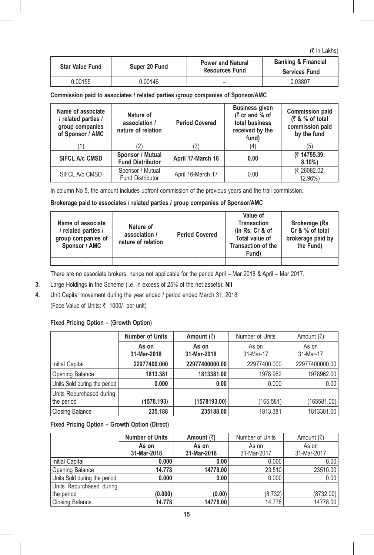$($ ₹ in Lakhs)

| <b>Star Value Fund</b> | Super 20 Fund | <b>Power and Natural</b><br><b>Resources Fund</b> | <b>Banking &amp; Financial</b><br><b>Services Fund</b> |
|------------------------|---------------|---------------------------------------------------|--------------------------------------------------------|
| 0.00155                | 0.00146       | -                                                 | 0.03807                                                |

**Commission paid to associates / related parties /group companies of Sponsor/AMC**

| Name of associate<br>/ related parties /<br>group companies<br>of Sponsor / AMC | Nature of<br>association /<br>nature of relation | <b>Period Covered</b> | <b>Business given</b><br>$(7 \text{ cr}$ and % of<br>total business<br>received by the<br>fund) | <b>Commission paid</b><br>$(3, 8, 6)$ of total<br>commission paid<br>by the fund |
|---------------------------------------------------------------------------------|--------------------------------------------------|-----------------------|-------------------------------------------------------------------------------------------------|----------------------------------------------------------------------------------|
|                                                                                 |                                                  | (3)                   | (4)                                                                                             | (5)                                                                              |
| <b>SIFCL A/c CMSD</b>                                                           | Sponsor / Mutual<br><b>Fund Distributor</b>      | April 17-March 18     | 0.00                                                                                            | (₹14755.39;<br>$8.10\%$                                                          |
| SIFCL A/c CMSD                                                                  | Sponsor / Mutual<br><b>Fund Distributor</b>      | April 16-March 17     | 0.00                                                                                            | (₹ 26082.02:<br>12.96%)                                                          |

In column No 5, the amount includes upfront commission of the previous years and the trail commission.

# **Brokerage paid to associates / related parties / group companies of Sponsor/AMC**

| Name of associate<br>/ related parties /<br>group companies of<br>Sponsor / AMC | Nature of<br>association /<br>nature of relation | <b>Period Covered</b> | Value of<br><b>Transaction</b><br>(in Rs, Cr & of<br>Total value of<br><b>Transaction of the</b><br>Fund) | <b>Brokerage (Rs</b><br>Cr & % of total<br>brokerage paid by<br>the Fund) |
|---------------------------------------------------------------------------------|--------------------------------------------------|-----------------------|-----------------------------------------------------------------------------------------------------------|---------------------------------------------------------------------------|
|                                                                                 |                                                  |                       |                                                                                                           | -                                                                         |

 There are no associate brokers, hence not applicable for the period April – Mar 2018 & April – Mar 2017.

- **3.** Large Holdings in the Scheme (i.e. in excess of 25% of the net assets): **Nil**
- **4.** Unit Capital movement during the year ended / period ended March 31, 2018 (Face Value of Units: ₹ 1000/- per unit)

# **Fixed Pricing Option – (Growth Option)**

|                                        | <b>Number of Units</b> | Amount $(\bar{z})$   | Number of Units    | Amount (₹)         |
|----------------------------------------|------------------------|----------------------|--------------------|--------------------|
|                                        | As on<br>31-Mar-2018   | As on<br>31-Mar-2018 | As on<br>31-Mar-17 | As on<br>31-Mar-17 |
| Initial Capital                        | 22977400.000           | 22977400000.00       | 22977400.000       | 22977400000.00     |
| Opening Balance                        | 1813.381               | 1813381.00           | 1978.962           | 1978962.00         |
| Units Sold during the period           | 0.000                  | 0.00                 | 0.000              | 0.00               |
| Units Repurchased during<br>the period | (1578.193)             | (1578193.00)         | (165.581)          | (165581.00)        |
| <b>Closing Balance</b>                 | 235.188                | 235188.00            | 1813.381           | 1813381.00         |

**Fixed Pricing Option – Growth Option (Direct)**

|                              | <b>Number of Units</b> | Amount $(\bar{z})$ | Number of Units | Amount (₹)  |
|------------------------------|------------------------|--------------------|-----------------|-------------|
|                              | As on                  | As on              | As on           | As on       |
|                              | 31-Mar-2018            | 31-Mar-2018        | 31-Mar-2017     | 31-Mar-2017 |
| Initial Capital              | 0.000                  | 0.00               | 0.000           | 0.00        |
| Opening Balance              | 14.778                 | 14778.00           | 23.510          | 23510.00    |
| Units Sold during the period | 0.000                  | 0.00               | 0.000           | 0.00        |
| Units Repurchased during     |                        |                    |                 |             |
| the period                   | (0.000)                | (0.00)             | (8.732)         | (8732.00)   |
| <b>Closing Balance</b>       | 14.778                 | 14778.00           | 14.778          | 14778.00    |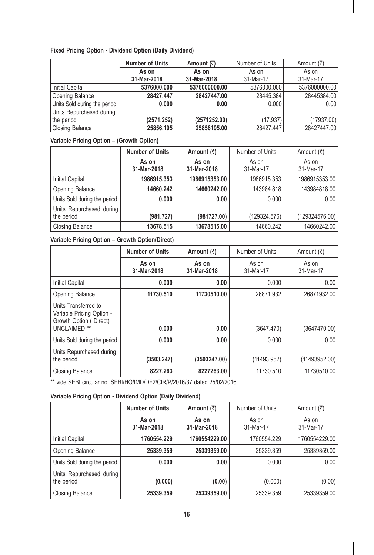## **Fixed Pricing Option - Dividend Option (Daily Dividend)**

|                              | <b>Number of Units</b> | Amount $(\bar{z})$ | Number of Units | Amount (₹)    |
|------------------------------|------------------------|--------------------|-----------------|---------------|
|                              | As on                  | As on              | As on           | As on         |
|                              | 31-Mar-2018            | 31-Mar-2018        | 31-Mar-17       | 31-Mar-17     |
| Initial Capital              | 5376000.000            | 5376000000.00      | 5376000.000     | 5376000000.00 |
| Opening Balance              | 28427.447              | 28427447.00        | 28445.384       | 28445384.00   |
| Units Sold during the period | 0.000                  | 0.00               | 0.000           | 0.00          |
| Units Repurchased during     |                        |                    |                 |               |
| the period                   | (2571.252)             | (2571252.00)       | (17.937)        | (17937.00)    |
| Closing Balance              | 25856.195              | 25856195.00        | 28427.447       | 28427447.00   |

# **Variable Pricing Option – (Growth Option)**

|                                        | <b>Number of Units</b> | Amount $(\bar{z})$   | Number of Units    | Amount (₹)         |
|----------------------------------------|------------------------|----------------------|--------------------|--------------------|
|                                        | As on<br>31-Mar-2018   | As on<br>31-Mar-2018 | As on<br>31-Mar-17 | As on<br>31-Mar-17 |
| <b>Initial Capital</b>                 | 1986915.353            | 1986915353.00        | 1986915.353        | 1986915353.00      |
| Opening Balance                        | 14660.242              | 14660242.00          | 143984.818         | 143984818.00       |
| Units Sold during the period           | 0.000                  | 0.00                 | 0.000              | 0.00               |
| Units Repurchased during<br>the period | (981.727)              | (981727.00)          | (129324.576)       | (129324576.00)     |
| <b>Closing Balance</b>                 | 13678.515              | 13678515.00          | 14660.242          | 14660242.00        |

# **Variable Pricing Option – Growth Option(Direct)**

|                                                                                                        | <b>Number of Units</b> | Amount (₹)           | Number of Units    | Amount (₹)         |
|--------------------------------------------------------------------------------------------------------|------------------------|----------------------|--------------------|--------------------|
|                                                                                                        | As on<br>31-Mar-2018   | As on<br>31-Mar-2018 | As on<br>31-Mar-17 | As on<br>31-Mar-17 |
| <b>Initial Capital</b>                                                                                 | 0.000                  | 0.00                 | 0.000              | 0.00               |
| Opening Balance                                                                                        | 11730.510              | 11730510.00          | 26871.932          | 26871932.00        |
| Units Transferred to<br>Variable Pricing Option -<br>Growth Option (Direct)<br>UNCLAIMED <sup>**</sup> | 0.000                  | 0.00                 | (3647.470)         | (3647470.00)       |
| Units Sold during the period                                                                           | 0.000                  | 0.00                 | 0.000              | 0.00               |
| Units Repurchased during<br>the period                                                                 | (3503.247)             | (3503247.00)         | (11493.952)        | (11493952.00)      |
| Closing Balance                                                                                        | 8227.263               | 8227263.00           | 11730.510          | 11730510.00        |

\*\* vide SEBI circular no. SEBI/HO/IMD/DF2/CIR/P/2016/37 dated 25/02/2016

# **Variable Pricing Option - Dividend Option (Daily Dividend)**

|                                        | Number of Units      | Amount (₹)           | Number of Units    | Amount (₹)         |
|----------------------------------------|----------------------|----------------------|--------------------|--------------------|
|                                        | As on<br>31-Mar-2018 | As on<br>31-Mar-2018 | As on<br>31-Mar-17 | As on<br>31-Mar-17 |
| <b>Initial Capital</b>                 | 1760554.229          | 1760554229.00        | 1760554.229        | 1760554229.00      |
| Opening Balance                        | 25339.359            | 25339359.00          | 25339.359          | 25339359.00        |
| Units Sold during the period           | 0.000                | 0.00                 | 0.000              | 0.00               |
| Units Repurchased during<br>the period | (0.000)              | (0.00)               | (0.000)            | (0.00)             |
| <b>Closing Balance</b>                 | 25339.359            | 25339359.00          | 25339.359          | 25339359.00        |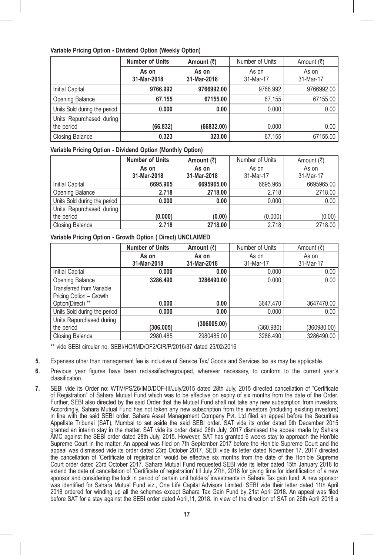#### **Variable Pricing Option - Dividend Option (Weekly Option)**

|                                        | <b>Number of Units</b> | Amount $(\bar{z})$   | Number of Units    | Amount (₹)         |
|----------------------------------------|------------------------|----------------------|--------------------|--------------------|
|                                        | As on<br>31-Mar-2018   | As on<br>31-Mar-2018 | As on<br>31-Mar-17 | As on<br>31-Mar-17 |
| Initial Capital                        | 9766.992               | 9766992.00           | 9766.992           | 9766992.00         |
| Opening Balance                        | 67.155                 | 67155.00             | 67.155             | 67155.00           |
| Units Sold during the period           | 0.000                  | 0.00                 | 0.000              | 0.00               |
| Units Repurchased during<br>the period | (66.832)               | (66832.00)           | 0.000              | 0.00               |
| <b>Closing Balance</b>                 | 0.323                  | 323.00               | 67.155             | 67155.00           |

**Variable Pricing Option - Dividend Option (Monthly Option)**

|                              | <b>Number of Units</b> | Amount $(\bar{z})$ | Number of Units | Amount (₹) |
|------------------------------|------------------------|--------------------|-----------------|------------|
|                              | As on                  | As on              | As on           | As on      |
|                              | 31-Mar-2018            | 31-Mar-2018        | 31-Mar-17       | 31-Mar-17  |
| Initial Capital              | 6695.965               | 6695965.00         | 6695.965        | 6695965.00 |
| Opening Balance              | 2.718                  | 2718.00            | 2.718           | 2718.00    |
| Units Sold during the period | 0.000                  | 0.00               | 0.000           | 0.00       |
| Units Repurchased during     |                        |                    |                 |            |
| the period                   | (0.000)                | (0.00)             | (0.000)         | (0.00)     |
| Closing Balance              | 2.718                  | 2718.00            | 2.718           | 2718.00    |

## **Variable Pricing Option - Growth Option ( Direct) UNCLAIMED**

|                              | <b>Number of Units</b> | Amount (₹)  | Number of Units | Amount (₹)  |
|------------------------------|------------------------|-------------|-----------------|-------------|
|                              | As on                  | As on       | As on           | As on       |
|                              | 31-Mar-2018            | 31-Mar-2018 | 31-Mar-17       | 31-Mar-17   |
| Initial Capital              | 0.000                  | 0.00        | 0.000           | 0.00        |
| Opening Balance              | 3286.490               | 3286490.00  | 0.000           | 0.00        |
| Transferred from Variable    |                        |             |                 |             |
| Pricing Option - Growth      |                        |             |                 |             |
| Option(Direct) **            | 0.000                  | 0.00        | 3647.470        | 3647470.00  |
| Units Sold during the period | 0.000                  | 0.00        | 0.000           | 0.00        |
| Units Repurchased during     |                        |             |                 |             |
| the period                   | (306.005)              | (306005.00) | (360.980)       | (360980.00) |
| <b>Closing Balance</b>       | 2980.485               | 2980485.00  | 3286.490        | 3286490.00  |

 \*\* vide SEBI circular no. SEBI/HO/IMD/DF2/CIR/P/2016/37 dated 25/02/2016

- **5.** Expenses other than management fee is inclusive of Service Tax/ Goods and Services tax as may be applicable.
- **6.** Previous year figures have been reclassified/regrouped, wherever necessary, to conform to the current year's classification.
- **7.** SEBI vide its Order no: WTM/PS/26/IMD/DOF-III/July/2015 dated 28th July, 2015 directed cancellation of "Certificate of Registration" of Sahara Mutual Fund which was to be effective on expiry of six months from the date of the Order. Further, SEBI also directed by the said Order that the Mutual Fund shall not take any new subscription from investors. Accordingly, Sahara Mutual Fund has not taken any new subscription from the investors (including existing investors) in line with the said SEBI order. Sahara Asset Management Company Pvt. Ltd filed an appeal before the Securities Appellate Tribunal (SAT), Mumbai to set aside the said SEBI order. SAT vide its order dated 9th December 2015 granted an interim stay in the matter. SAT vide its order dated 28th July, 2017 dismissed the appeal made by Sahara AMC against the SEBI order dated 28th July, 2015. However, SAT has granted 6 weeks stay to approach the Hon'ble Supreme Court in the matter. An appeal was filed on 7th September 2017 before the Hon'ble Supreme Court and the appeal was dismissed vide its order dated 23rd October 2017. SEBI vide its letter dated November 17, 2017 directed the cancellation of 'Certificate of registration' would be effective six months from the date of the Hon'ble Supreme Court order dated 23rd October 2017. Sahara Mutual Fund requested SEBI vide its letter dated 15th January 2018 to extend the date of cancellation of 'Certificate of registration' till July 27th, 2018 for giving time for identification of a new sponsor and considering the lock in period of certain unit holders' investments in Sahara Tax gain fund. A new sponsor was identified for Sahara Mutual Fund viz., One Life Capital Advisors Limited. SEBI vide their letter dated 11th April 2018 ordered for winding up all the schemes except Sahara Tax Gain Fund by 21st April 2018. An appeal was filed before SAT for a stay against the SEBI order dated April,11, 2018. In view of the direction of SAT on 26th April 2018 a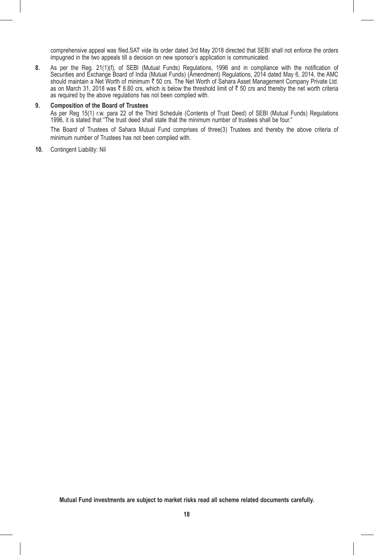comprehensive appeal was filed.SAT vide its order dated 3rd May 2018 directed that SEBI shall not enforce the orders impugned in the two appeals till a decision on new sponsor's application is communicated.

**8.** As per the Reg. 21(1)(f), of SEBI (Mutual Funds) Regulations, 1996 and in compliance with the notification of Securities and Exchange Board of India (Mutual Funds) (Amendment) Regulations, 2014 dated May 6, 2014, the AMC should maintain a Net Worth of minimum ₹ 50 crs. The Net Worth of Sahara Asset Management Company Private Ltd. as on March 31, 2018 was  $\bar{\tau}$  8.80 crs, which is below the threshold limit of  $\bar{\tau}$  50 crs and thereby the net worth criteria as required by the above regulations has not been complied with.

#### **9. Composition of the Board of Trustees**

 As per Reg 15(1) r.w. para 22 of the Third Schedule (Contents of Trust Deed) of SEBI (Mutual Funds) Regulations 1996, it is stated that "The trust deed shall state that the minimum number of trustees shall be four."

 The Board of Trustees of Sahara Mutual Fund comprises of three(3) Trustees and thereby the above criteria of minimum number of Trustees has not been complied with.

**10.** Contingent Liability: Nil

**Mutual Fund investments are subject to market risks read all scheme related documents carefully.**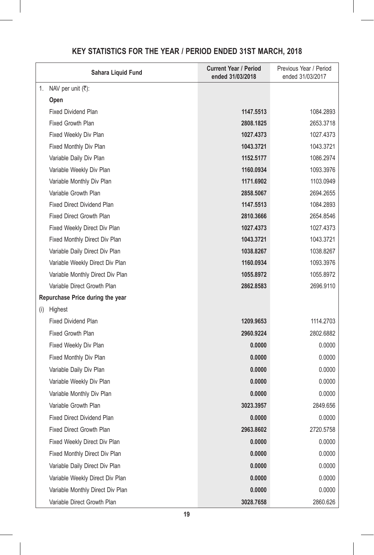|     | Sahara Liquid Fund                 | <b>Current Year / Period</b><br>ended 31/03/2018 | Previous Year / Period<br>ended 31/03/2017 |
|-----|------------------------------------|--------------------------------------------------|--------------------------------------------|
| 1.  | NAV per unit $(\overline{\tau})$ : |                                                  |                                            |
|     | Open                               |                                                  |                                            |
|     | <b>Fixed Dividend Plan</b>         | 1147.5513                                        | 1084.2893                                  |
|     | <b>Fixed Growth Plan</b>           | 2808.1825                                        | 2653.3718                                  |
|     | Fixed Weekly Div Plan              | 1027.4373                                        | 1027.4373                                  |
|     | Fixed Monthly Div Plan             | 1043.3721                                        | 1043.3721                                  |
|     | Variable Daily Div Plan            | 1152.5177                                        | 1086.2974                                  |
|     | Variable Weekly Div Plan           | 1160.0934                                        | 1093.3976                                  |
|     | Variable Monthly Div Plan          | 1171.6902                                        | 1103.0949                                  |
|     | Variable Growth Plan               | 2858,5067                                        | 2694.2655                                  |
|     | <b>Fixed Direct Dividend Plan</b>  | 1147.5513                                        | 1084.2893                                  |
|     | <b>Fixed Direct Growth Plan</b>    | 2810.3666                                        | 2654.8546                                  |
|     | Fixed Weekly Direct Div Plan       | 1027.4373                                        | 1027.4373                                  |
|     | Fixed Monthly Direct Div Plan      | 1043.3721                                        | 1043.3721                                  |
|     | Variable Daily Direct Div Plan     | 1038.8267                                        | 1038.8267                                  |
|     | Variable Weekly Direct Div Plan    | 1160.0934                                        | 1093.3976                                  |
|     | Variable Monthly Direct Div Plan   | 1055.8972                                        | 1055.8972                                  |
|     | Variable Direct Growth Plan        | 2862.8583                                        | 2696.9110                                  |
|     | Repurchase Price during the year   |                                                  |                                            |
| (i) | Highest                            |                                                  |                                            |
|     | <b>Fixed Dividend Plan</b>         | 1209.9653                                        | 1114.2703                                  |
|     | Fixed Growth Plan                  | 2960.9224                                        | 2802.6882                                  |
|     | Fixed Weekly Div Plan              | 0.0000                                           | 0.0000                                     |
|     | Fixed Monthly Div Plan             | 0.0000                                           | 0.0000                                     |
|     | Variable Daily Div Plan            | 0.0000                                           | 0.0000                                     |
|     | Variable Weekly Div Plan           | 0.0000                                           | 0.0000                                     |
|     | Variable Monthly Div Plan          | 0.0000                                           | 0.0000                                     |
|     | Variable Growth Plan               | 3023.3957                                        | 2849.656                                   |
|     | <b>Fixed Direct Dividend Plan</b>  | 0.0000                                           | 0.0000                                     |
|     | <b>Fixed Direct Growth Plan</b>    | 2963.8602                                        | 2720.5758                                  |
|     | Fixed Weekly Direct Div Plan       | 0.0000                                           | 0.0000                                     |
|     | Fixed Monthly Direct Div Plan      | 0.0000                                           | 0.0000                                     |
|     | Variable Daily Direct Div Plan     | 0.0000                                           | 0.0000                                     |
|     | Variable Weekly Direct Div Plan    | 0.0000                                           | 0.0000                                     |
|     | Variable Monthly Direct Div Plan   | 0.0000                                           | 0.0000                                     |
|     | Variable Direct Growth Plan        | 3028.7658                                        | 2860.626                                   |

# **KEY STATISTICS FOR THE YEAR / PERIOD ENDED 31ST MARCH, 2018**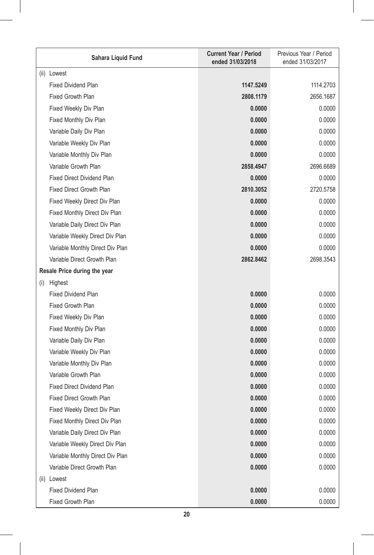| Sahara Liquid Fund                   | <b>Current Year / Period</b><br>ended 31/03/2018 | Previous Year / Period<br>ended 31/03/2017 |
|--------------------------------------|--------------------------------------------------|--------------------------------------------|
| (ii) Lowest                          |                                                  |                                            |
| <b>Fixed Dividend Plan</b>           | 1147.5249                                        | 1114.2703                                  |
| <b>Fixed Growth Plan</b>             | 2808.1179                                        | 2656.1687                                  |
| Fixed Weekly Div Plan                | 0.0000                                           | 0.0000                                     |
| Fixed Monthly Div Plan               | 0.0000                                           | 0.0000                                     |
| Variable Daily Div Plan              | 0.0000                                           | 0.0000                                     |
| Variable Weekly Div Plan             | 0.0000                                           | 0.0000                                     |
| Variable Monthly Div Plan            | 0.0000                                           | 0.0000                                     |
| Variable Growth Plan                 | 2858.4947                                        | 2696.6689                                  |
| <b>Fixed Direct Dividend Plan</b>    | 0.0000                                           | 0.0000                                     |
| <b>Fixed Direct Growth Plan</b>      | 2810.3052                                        | 2720.5758                                  |
| Fixed Weekly Direct Div Plan         | 0.0000                                           | 0.0000                                     |
| Fixed Monthly Direct Div Plan        | 0.0000                                           | 0.0000                                     |
| Variable Daily Direct Div Plan       | 0.0000                                           | 0.0000                                     |
| Variable Weekly Direct Div Plan      | 0.0000                                           | 0.0000                                     |
| Variable Monthly Direct Div Plan     | 0.0000                                           | 0.0000                                     |
| Variable Direct Growth Plan          | 2862.8462                                        | 2698.3543                                  |
| Resale Price during the year         |                                                  |                                            |
| Highest<br>(i)                       |                                                  |                                            |
| Fixed Dividend Plan                  | 0.0000                                           | 0.0000                                     |
| <b>Fixed Growth Plan</b>             | 0.0000                                           | 0.0000                                     |
| Fixed Weekly Div Plan                | 0.0000                                           | 0.0000                                     |
| Fixed Monthly Div Plan               | 0.0000                                           | 0.0000                                     |
| Variable Daily Div Plan              | 0.0000                                           | 0.0000                                     |
| Variable Weekly Div Plan             | 0.0000                                           | 0.0000                                     |
| Variable Monthly Div Plan            | 0.0000                                           | 0.0000                                     |
| Variable Growth Plan                 | 0.0000                                           | 0.0000                                     |
| <b>Fixed Direct Dividend Plan</b>    | 0.0000                                           | 0.0000                                     |
| Fixed Direct Growth Plan             | 0.0000                                           | 0.0000                                     |
| Fixed Weekly Direct Div Plan         | 0.0000                                           | 0.0000                                     |
| <b>Fixed Monthly Direct Div Plan</b> | 0.0000                                           | 0.0000                                     |
| Variable Daily Direct Div Plan       | 0.0000                                           | 0.0000                                     |
| Variable Weekly Direct Div Plan      | 0.0000                                           | 0.0000                                     |
| Variable Monthly Direct Div Plan     | 0.0000                                           | 0.0000                                     |
| Variable Direct Growth Plan          | 0.0000                                           | 0.0000                                     |
| (ii) Lowest                          |                                                  |                                            |
| <b>Fixed Dividend Plan</b>           | 0.0000                                           | 0.0000                                     |
| Fixed Growth Plan                    | 0.0000                                           | 0.0000                                     |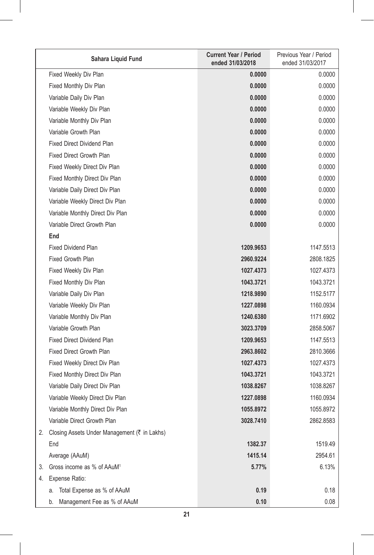|    | Sahara Liquid Fund                              | <b>Current Year / Period</b><br>ended 31/03/2018 | Previous Year / Period<br>ended 31/03/2017 |
|----|-------------------------------------------------|--------------------------------------------------|--------------------------------------------|
|    | Fixed Weekly Div Plan                           | 0.0000                                           | 0.0000                                     |
|    | Fixed Monthly Div Plan                          | 0.0000                                           | 0.0000                                     |
|    | Variable Daily Div Plan                         | 0.0000                                           | 0.0000                                     |
|    | Variable Weekly Div Plan                        | 0.0000                                           | 0.0000                                     |
|    | Variable Monthly Div Plan                       | 0.0000                                           | 0.0000                                     |
|    | Variable Growth Plan                            | 0.0000                                           | 0.0000                                     |
|    | <b>Fixed Direct Dividend Plan</b>               | 0.0000                                           | 0.0000                                     |
|    | Fixed Direct Growth Plan                        | 0.0000                                           | 0.0000                                     |
|    | Fixed Weekly Direct Div Plan                    | 0.0000                                           | 0.0000                                     |
|    | Fixed Monthly Direct Div Plan                   | 0.0000                                           | 0.0000                                     |
|    | Variable Daily Direct Div Plan                  | 0.0000                                           | 0.0000                                     |
|    | Variable Weekly Direct Div Plan                 | 0.0000                                           | 0.0000                                     |
|    | Variable Monthly Direct Div Plan                | 0.0000                                           | 0.0000                                     |
|    | Variable Direct Growth Plan                     | 0.0000                                           | 0.0000                                     |
|    | End                                             |                                                  |                                            |
|    | <b>Fixed Dividend Plan</b>                      | 1209.9653                                        | 1147.5513                                  |
|    | <b>Fixed Growth Plan</b>                        | 2960.9224                                        | 2808.1825                                  |
|    | Fixed Weekly Div Plan                           | 1027.4373                                        | 1027.4373                                  |
|    | Fixed Monthly Div Plan                          | 1043.3721                                        | 1043.3721                                  |
|    | Variable Daily Div Plan                         | 1218.9890                                        | 1152.5177                                  |
|    | Variable Weekly Div Plan                        | 1227.0898                                        | 1160.0934                                  |
|    | Variable Monthly Div Plan                       | 1240.6380                                        | 1171.6902                                  |
|    | Variable Growth Plan                            | 3023.3709                                        | 2858.5067                                  |
|    | <b>Fixed Direct Dividend Plan</b>               | 1209.9653                                        | 1147.5513                                  |
|    | <b>Fixed Direct Growth Plan</b>                 | 2963.8602                                        | 2810.3666                                  |
|    | Fixed Weekly Direct Div Plan                    | 1027.4373                                        | 1027.4373                                  |
|    | Fixed Monthly Direct Div Plan                   | 1043.3721                                        | 1043.3721                                  |
|    | Variable Daily Direct Div Plan                  | 1038.8267                                        | 1038.8267                                  |
|    | Variable Weekly Direct Div Plan                 | 1227.0898                                        | 1160.0934                                  |
|    | Variable Monthly Direct Div Plan                | 1055.8972                                        | 1055.8972                                  |
|    | Variable Direct Growth Plan                     | 3028.7410                                        | 2862.8583                                  |
|    | 2. Closing Assets Under Management (₹ in Lakhs) |                                                  |                                            |
|    | End                                             | 1382.37                                          | 1519.49                                    |
|    | Average (AAuM)                                  | 1415.14                                          | 2954.61                                    |
| 3. | Gross income as % of AAuM <sup>1</sup>          | 5.77%                                            | 6.13%                                      |
|    | 4. Expense Ratio:                               |                                                  |                                            |
|    | Total Expense as % of AAuM<br>а.                | 0.19                                             | 0.18                                       |
|    | b. Management Fee as % of AAuM                  | 0.10                                             | 0.08                                       |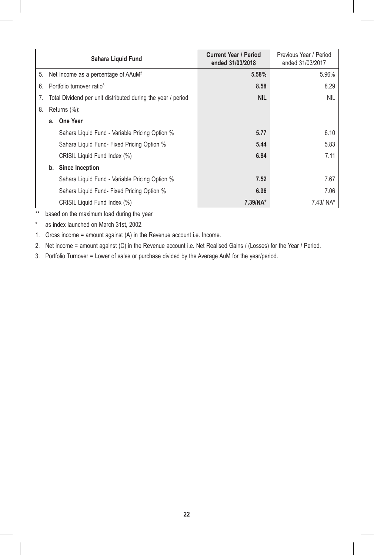|    |                                                              | Sahara Liguid Fund                              | <b>Current Year / Period</b><br>ended 31/03/2018 | Previous Year / Period<br>ended 31/03/2017 |
|----|--------------------------------------------------------------|-------------------------------------------------|--------------------------------------------------|--------------------------------------------|
| 5. |                                                              | Net Income as a percentage of AAuM <sup>2</sup> | 5.58%                                            | 5.96%                                      |
| 6. | Portfolio turnover ratio <sup>3</sup>                        |                                                 | 8.58                                             | 8.29                                       |
| 7. | Total Dividend per unit distributed during the year / period |                                                 | <b>NIL</b>                                       | <b>NIL</b>                                 |
| 8. | Returns $(\%)$ :                                             |                                                 |                                                  |                                            |
|    |                                                              | a. One Year                                     |                                                  |                                            |
|    |                                                              | Sahara Liquid Fund - Variable Pricing Option %  | 5.77                                             | 6.10                                       |
|    |                                                              | Sahara Liquid Fund- Fixed Pricing Option %      | 5.44                                             | 5.83                                       |
|    |                                                              | CRISIL Liquid Fund Index (%)                    | 6.84                                             | 7.11                                       |
|    |                                                              | b. Since Inception                              |                                                  |                                            |
|    |                                                              | Sahara Liquid Fund - Variable Pricing Option %  | 7.52                                             | 7.67                                       |
|    |                                                              | Sahara Liquid Fund- Fixed Pricing Option %      | 6.96                                             | 7.06                                       |
|    |                                                              | CRISIL Liquid Fund Index (%)                    | $7.39/NA*$                                       | $7.43/ NA*$                                |

\*\* based on the maximum load during the year

\* as index launched on March 31st, 2002.

1. Gross income = amount against (A) in the Revenue account i.e. Income.

2. Net income = amount against (C) in the Revenue account i.e. Net Realised Gains / (Losses) for the Year / Period.

3. Portfolio Turnover = Lower of sales or purchase divided by the Average AuM for the year/period.